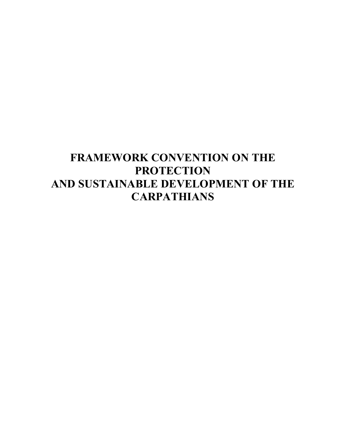# **FRAMEWORK CONVENTION ON THE PROTECTION AND SUSTAINABLE DEVELOPMENT OF THE CARPATHIANS**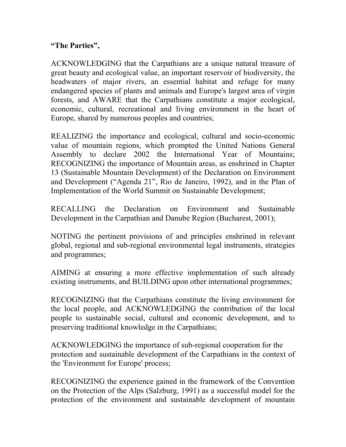#### **"The Parties",**

ACKNOWLEDGING that the Carpathians are a unique natural treasure of great beauty and ecological value, an important reservoir of biodiversity, the headwaters of major rivers, an essential habitat and refuge for many endangered species of plants and animals and Europe's largest area of virgin forests, and AWARE that the Carpathians constitute a major ecological, economic, cultural, recreational and living environment in the heart of Europe, shared by numerous peoples and countries;

REALIZING the importance and ecological, cultural and socio-economic value of mountain regions, which prompted the United Nations General Assembly to declare 2002 the International Year of Mountains; RECOGNIZING the importance of Mountain areas, as enshrined in Chapter 13 (Sustainable Mountain Development) of the Declaration on Environment and Development ("Agenda 21", Rio de Janeiro, 1992), and in the Plan of Implementation of the World Summit on Sustainable Development;

RECALLING the Declaration on Environment and Sustainable Development in the Carpathian and Danube Region (Bucharest, 2001);

NOTING the pertinent provisions of and principles enshrined in relevant global, regional and sub-regional environmental legal instruments, strategies and programmes;

AIMING at ensuring a more effective implementation of such already existing instruments, and BUILDING upon other international programmes;

RECOGNIZING that the Carpathians constitute the living environment for the local people, and ACKNOWLEDGING the contribution of the local people to sustainable social, cultural and economic development, and to preserving traditional knowledge in the Carpathians;

ACKNOWLEDGING the importance of sub-regional cooperation for the protection and sustainable development of the Carpathians in the context of the 'Environment for Europe' process;

RECOGNIZING the experience gained in the framework of the Convention on the Protection of the Alps (Salzburg, 1991) as a successful model for the protection of the environment and sustainable development of mountain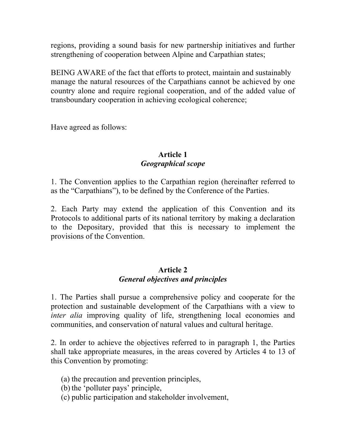regions, providing a sound basis for new partnership initiatives and further strengthening of cooperation between Alpine and Carpathian states;

BEING AWARE of the fact that efforts to protect, maintain and sustainably manage the natural resources of the Carpathians cannot be achieved by one country alone and require regional cooperation, and of the added value of transboundary cooperation in achieving ecological coherence;

Have agreed as follows:

#### **Article 1**  *Geographical scope*

1. The Convention applies to the Carpathian region (hereinafter referred to as the "Carpathians"), to be defined by the Conference of the Parties.

2. Each Party may extend the application of this Convention and its Protocols to additional parts of its national territory by making a declaration to the Depositary, provided that this is necessary to implement the provisions of the Convention.

#### **Article 2**  *General objectives and principles*

1. The Parties shall pursue a comprehensive policy and cooperate for the protection and sustainable development of the Carpathians with a view to *inter alia* improving quality of life, strengthening local economies and communities, and conservation of natural values and cultural heritage.

2. In order to achieve the objectives referred to in paragraph 1, the Parties shall take appropriate measures, in the areas covered by Articles 4 to 13 of this Convention by promoting:

(a) the precaution and prevention principles,

(b) the 'polluter pays' principle,

(c) public participation and stakeholder involvement,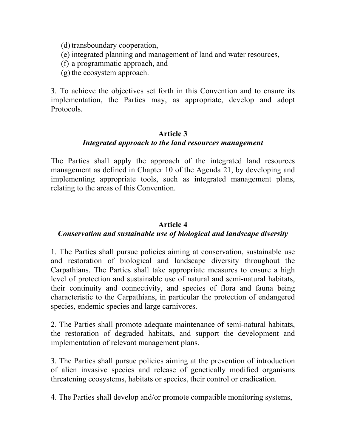(d) transboundary cooperation,

- (e) integrated planning and management of land and water resources,
- (f) a programmatic approach, and
- (g) the ecosystem approach.

3. To achieve the objectives set forth in this Convention and to ensure its implementation, the Parties may, as appropriate, develop and adopt Protocols.

#### **Article 3**  *Integrated approach to the land resources management*

The Parties shall apply the approach of the integrated land resources management as defined in Chapter 10 of the Agenda 21, by developing and implementing appropriate tools, such as integrated management plans, relating to the areas of this Convention.

## **Article 4**

## *Conservation and sustainable use of biological and landscape diversity*

1. The Parties shall pursue policies aiming at conservation, sustainable use and restoration of biological and landscape diversity throughout the Carpathians. The Parties shall take appropriate measures to ensure a high level of protection and sustainable use of natural and semi-natural habitats, their continuity and connectivity, and species of flora and fauna being characteristic to the Carpathians, in particular the protection of endangered species, endemic species and large carnivores.

2. The Parties shall promote adequate maintenance of semi-natural habitats, the restoration of degraded habitats, and support the development and implementation of relevant management plans.

3. The Parties shall pursue policies aiming at the prevention of introduction of alien invasive species and release of genetically modified organisms threatening ecosystems, habitats or species, their control or eradication.

4. The Parties shall develop and/or promote compatible monitoring systems,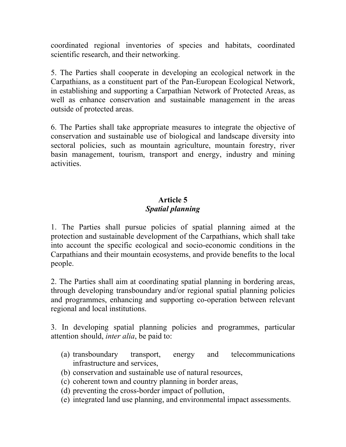coordinated regional inventories of species and habitats, coordinated scientific research, and their networking.

5. The Parties shall cooperate in developing an ecological network in the Carpathians, as a constituent part of the Pan-European Ecological Network, in establishing and supporting a Carpathian Network of Protected Areas, as well as enhance conservation and sustainable management in the areas outside of protected areas.

6. The Parties shall take appropriate measures to integrate the objective of conservation and sustainable use of biological and landscape diversity into sectoral policies, such as mountain agriculture, mountain forestry, river basin management, tourism, transport and energy, industry and mining activities.

## **Article 5**  *Spatial planning*

1. The Parties shall pursue policies of spatial planning aimed at the protection and sustainable development of the Carpathians, which shall take into account the specific ecological and socio-economic conditions in the Carpathians and their mountain ecosystems, and provide benefits to the local people.

2. The Parties shall aim at coordinating spatial planning in bordering areas, through developing transboundary and/or regional spatial planning policies and programmes, enhancing and supporting co-operation between relevant regional and local institutions.

3. In developing spatial planning policies and programmes, particular attention should, *inter alia*, be paid to:

- (a) transboundary transport, energy and telecommunications infrastructure and services,
- (b) conservation and sustainable use of natural resources,
- (c) coherent town and country planning in border areas,
- (d) preventing the cross-border impact of pollution,
- (e) integrated land use planning, and environmental impact assessments.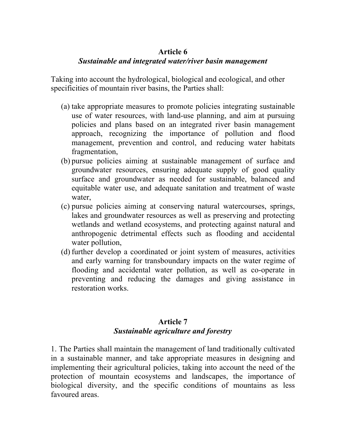#### **Article 6**

#### *Sustainable and integrated water/river basin management*

Taking into account the hydrological, biological and ecological, and other specificities of mountain river basins, the Parties shall:

- (a) take appropriate measures to promote policies integrating sustainable use of water resources, with land-use planning, and aim at pursuing policies and plans based on an integrated river basin management approach, recognizing the importance of pollution and flood management, prevention and control, and reducing water habitats fragmentation,
- (b) pursue policies aiming at sustainable management of surface and groundwater resources, ensuring adequate supply of good quality surface and groundwater as needed for sustainable, balanced and equitable water use, and adequate sanitation and treatment of waste water,
- (c) pursue policies aiming at conserving natural watercourses, springs, lakes and groundwater resources as well as preserving and protecting wetlands and wetland ecosystems, and protecting against natural and anthropogenic detrimental effects such as flooding and accidental water pollution.
- (d) further develop a coordinated or joint system of measures, activities and early warning for transboundary impacts on the water regime of flooding and accidental water pollution, as well as co-operate in preventing and reducing the damages and giving assistance in restoration works.

## **Article 7**  *Sustainable agriculture and forestry*

1. The Parties shall maintain the management of land traditionally cultivated in a sustainable manner, and take appropriate measures in designing and implementing their agricultural policies, taking into account the need of the protection of mountain ecosystems and landscapes, the importance of biological diversity, and the specific conditions of mountains as less favoured areas.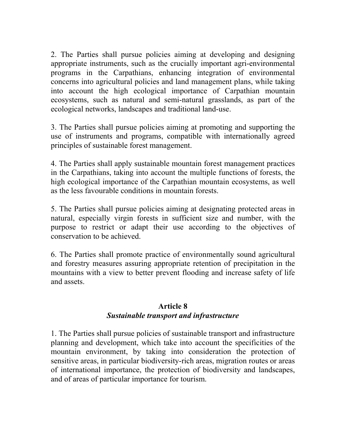2. The Parties shall pursue policies aiming at developing and designing appropriate instruments, such as the crucially important agri-environmental programs in the Carpathians, enhancing integration of environmental concerns into agricultural policies and land management plans, while taking into account the high ecological importance of Carpathian mountain ecosystems, such as natural and semi-natural grasslands, as part of the ecological networks, landscapes and traditional land-use.

3. The Parties shall pursue policies aiming at promoting and supporting the use of instruments and programs, compatible with internationally agreed principles of sustainable forest management.

4. The Parties shall apply sustainable mountain forest management practices in the Carpathians, taking into account the multiple functions of forests, the high ecological importance of the Carpathian mountain ecosystems, as well as the less favourable conditions in mountain forests.

5. The Parties shall pursue policies aiming at designating protected areas in natural, especially virgin forests in sufficient size and number, with the purpose to restrict or adapt their use according to the objectives of conservation to be achieved.

6. The Parties shall promote practice of environmentally sound agricultural and forestry measures assuring appropriate retention of precipitation in the mountains with a view to better prevent flooding and increase safety of life and assets.

#### **Article 8**  *Sustainable transport and infrastructure*

1. The Parties shall pursue policies of sustainable transport and infrastructure planning and development, which take into account the specificities of the mountain environment, by taking into consideration the protection of sensitive areas, in particular biodiversity-rich areas, migration routes or areas of international importance, the protection of biodiversity and landscapes, and of areas of particular importance for tourism.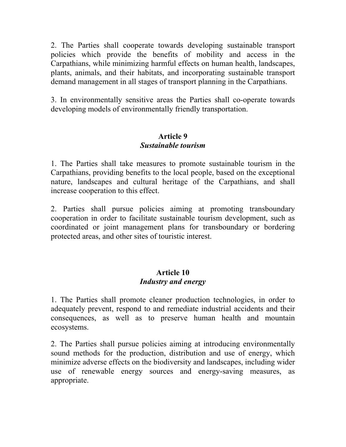2. The Parties shall cooperate towards developing sustainable transport policies which provide the benefits of mobility and access in the Carpathians, while minimizing harmful effects on human health, landscapes, plants, animals, and their habitats, and incorporating sustainable transport demand management in all stages of transport planning in the Carpathians.

3. In environmentally sensitive areas the Parties shall co-operate towards developing models of environmentally friendly transportation.

### **Article 9**  *Sustainable tourism*

1. The Parties shall take measures to promote sustainable tourism in the Carpathians, providing benefits to the local people, based on the exceptional nature, landscapes and cultural heritage of the Carpathians, and shall increase cooperation to this effect.

2. Parties shall pursue policies aiming at promoting transboundary cooperation in order to facilitate sustainable tourism development, such as coordinated or joint management plans for transboundary or bordering protected areas, and other sites of touristic interest.

## **Article 10**  *Industry and energy*

1. The Parties shall promote cleaner production technologies, in order to adequately prevent, respond to and remediate industrial accidents and their consequences, as well as to preserve human health and mountain ecosystems.

2. The Parties shall pursue policies aiming at introducing environmentally sound methods for the production, distribution and use of energy, which minimize adverse effects on the biodiversity and landscapes, including wider use of renewable energy sources and energy-saving measures, as appropriate.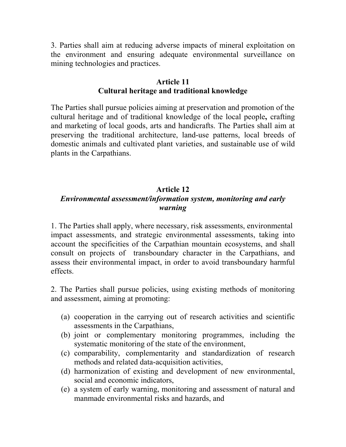3. Parties shall aim at reducing adverse impacts of mineral exploitation on the environment and ensuring adequate environmental surveillance on mining technologies and practices.

#### **Article 11 Cultural heritage and traditional knowledge**

The Parties shall pursue policies aiming at preservation and promotion of the cultural heritage and of traditional knowledge of the local people**,** crafting and marketing of local goods, arts and handicrafts. The Parties shall aim at preserving the traditional architecture, land-use patterns, local breeds of domestic animals and cultivated plant varieties, and sustainable use of wild plants in the Carpathians.

## **Article 12**

## *Environmental assessment/information system, monitoring and early warning*

1. The Parties shall apply, where necessary, risk assessments, environmental impact assessments, and strategic environmental assessments, taking into account the specificities of the Carpathian mountain ecosystems, and shall consult on projects of transboundary character in the Carpathians, and assess their environmental impact, in order to avoid transboundary harmful effects.

2. The Parties shall pursue policies, using existing methods of monitoring and assessment, aiming at promoting:

- (a) cooperation in the carrying out of research activities and scientific assessments in the Carpathians,
- (b) joint or complementary monitoring programmes, including the systematic monitoring of the state of the environment,
- (c) comparability, complementarity and standardization of research methods and related data-acquisition activities,
- (d) harmonization of existing and development of new environmental, social and economic indicators,
- (e) a system of early warning, monitoring and assessment of natural and manmade environmental risks and hazards, and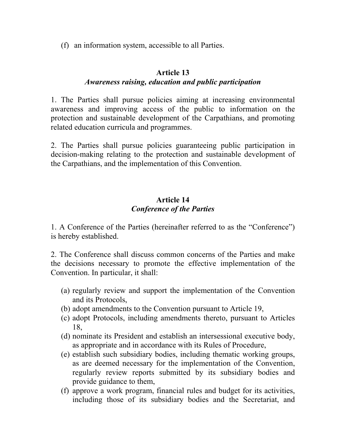(f) an information system, accessible to all Parties.

#### **Article 13**

## *Awareness raising, education and public participation*

1. The Parties shall pursue policies aiming at increasing environmental awareness and improving access of the public to information on the protection and sustainable development of the Carpathians, and promoting related education curricula and programmes.

2. The Parties shall pursue policies guaranteeing public participation in decision-making relating to the protection and sustainable development of the Carpathians, and the implementation of this Convention.

### **Article 14**  *Conference of the Parties*

1. A Conference of the Parties (hereinafter referred to as the "Conference") is hereby established.

2. The Conference shall discuss common concerns of the Parties and make the decisions necessary to promote the effective implementation of the Convention. In particular, it shall:

- (a) regularly review and support the implementation of the Convention and its Protocols,
- (b) adopt amendments to the Convention pursuant to Article 19,
- (c) adopt Protocols, including amendments thereto, pursuant to Articles 18,
- (d) nominate its President and establish an intersessional executive body, as appropriate and in accordance with its Rules of Procedure,
- (e) establish such subsidiary bodies, including thematic working groups, as are deemed necessary for the implementation of the Convention, regularly review reports submitted by its subsidiary bodies and provide guidance to them,
- (f) approve a work program, financial rules and budget for its activities, including those of its subsidiary bodies and the Secretariat, and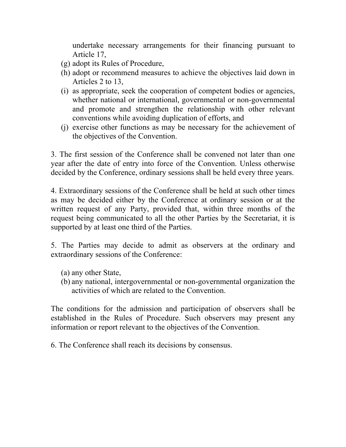undertake necessary arrangements for their financing pursuant to Article 17,

- (g) adopt its Rules of Procedure,
- (h) adopt or recommend measures to achieve the objectives laid down in Articles 2 to 13,
- (i) as appropriate, seek the cooperation of competent bodies or agencies, whether national or international, governmental or non-governmental and promote and strengthen the relationship with other relevant conventions while avoiding duplication of efforts, and
- (j) exercise other functions as may be necessary for the achievement of the objectives of the Convention.

3. The first session of the Conference shall be convened not later than one year after the date of entry into force of the Convention. Unless otherwise decided by the Conference, ordinary sessions shall be held every three years.

4. Extraordinary sessions of the Conference shall be held at such other times as may be decided either by the Conference at ordinary session or at the written request of any Party, provided that, within three months of the request being communicated to all the other Parties by the Secretariat, it is supported by at least one third of the Parties.

5. The Parties may decide to admit as observers at the ordinary and extraordinary sessions of the Conference:

- (a) any other State,
- (b) any national, intergovernmental or non-governmental organization the activities of which are related to the Convention.

The conditions for the admission and participation of observers shall be established in the Rules of Procedure. Such observers may present any information or report relevant to the objectives of the Convention.

6. The Conference shall reach its decisions by consensus.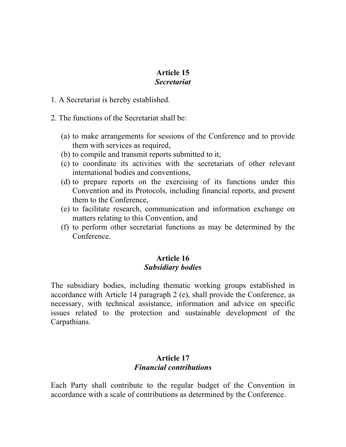## **Article 15**

## *Secretariat*

- 1. A Secretariat is hereby established.
- 2. The functions of the Secretariat shall be:
	- (a) to make arrangements for sessions of the Conference and to provide them with services as required,
	- (b) to compile and transmit reports submitted to it,
	- (c) to coordinate its activities with the secretariats of other relevant international bodies and conventions,
	- (d) to prepare reports on the exercising of its functions under this Convention and its Protocols, including financial reports, and present them to the Conference,
	- (e) to facilitate research, communication and information exchange on matters relating to this Convention, and
	- (f) to perform other secretariat functions as may be determined by the Conference.

## **Article 16**  *Subsidiary bodies*

The subsidiary bodies, including thematic working groups established in accordance with Article 14 paragraph 2 (e), shall provide the Conference, as necessary, with technical assistance, information and advice on specific issues related to the protection and sustainable development of the Carpathians.

#### **Article 17**  *Financial contributions*

Each Party shall contribute to the regular budget of the Convention in accordance with a scale of contributions as determined by the Conference.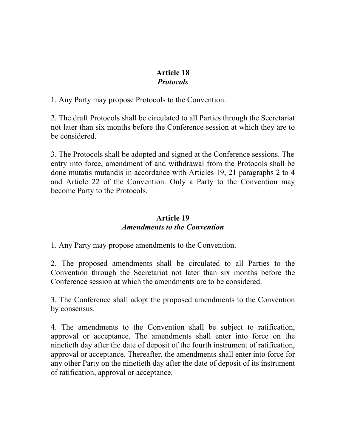#### **Article 18**  *Protocols*

1. Any Party may propose Protocols to the Convention.

2. The draft Protocols shall be circulated to all Parties through the Secretariat not later than six months before the Conference session at which they are to be considered.

3. The Protocols shall be adopted and signed at the Conference sessions. The entry into force, amendment of and withdrawal from the Protocols shall be done mutatis mutandis in accordance with Articles 19, 21 paragraphs 2 to 4 and Article 22 of the Convention. Only a Party to the Convention may become Party to the Protocols.

## **Article 19**  *Amendments to the Convention*

1. Any Party may propose amendments to the Convention.

2. The proposed amendments shall be circulated to all Parties to the Convention through the Secretariat not later than six months before the Conference session at which the amendments are to be considered.

3. The Conference shall adopt the proposed amendments to the Convention by consensus.

4. The amendments to the Convention shall be subject to ratification, approval or acceptance. The amendments shall enter into force on the ninetieth day after the date of deposit of the fourth instrument of ratification, approval or acceptance. Thereafter, the amendments shall enter into force for any other Party on the ninetieth day after the date of deposit of its instrument of ratification, approval or acceptance.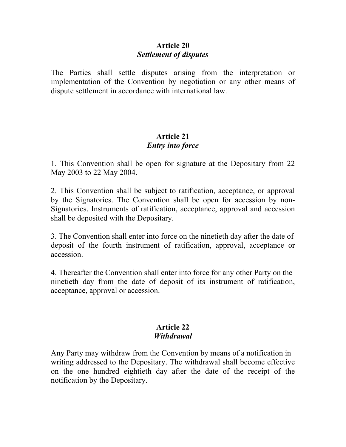### **Article 20**  *Settlement of disputes*

The Parties shall settle disputes arising from the interpretation or implementation of the Convention by negotiation or any other means of dispute settlement in accordance with international law.

## **Article 21**  *Entry into force*

1. This Convention shall be open for signature at the Depositary from 22 May 2003 to 22 May 2004.

2. This Convention shall be subject to ratification, acceptance, or approval by the Signatories. The Convention shall be open for accession by non-Signatories. Instruments of ratification, acceptance, approval and accession shall be deposited with the Depositary.

3. The Convention shall enter into force on the ninetieth day after the date of deposit of the fourth instrument of ratification, approval, acceptance or accession.

4. Thereafter the Convention shall enter into force for any other Party on the ninetieth day from the date of deposit of its instrument of ratification, acceptance, approval or accession.

#### **Article 22**  *Withdrawal*

Any Party may withdraw from the Convention by means of a notification in writing addressed to the Depositary. The withdrawal shall become effective on the one hundred eightieth day after the date of the receipt of the notification by the Depositary.